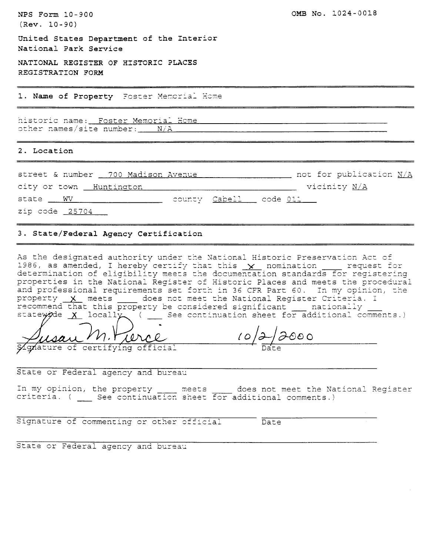| NPS Form 10-900                                                        | OMB No. 1024-0018            |
|------------------------------------------------------------------------|------------------------------|
| $(Rev. 10-90)$                                                         |                              |
| United States Department of the Interior<br>National Park Service      |                              |
| NATIONAL REGISTER OF HISTORIC PLACES<br>REGISTRATION FORM              |                              |
| 1. Name of Property Foster Memorial Home                               |                              |
| historic name: Foster Memorial Home<br>other names/site number: __ N/A |                              |
| 2. Location                                                            |                              |
| street & number __ 700 Madison Avenue                                  | not for publication N/A      |
| city or town Huntington                                                | $\_\_$ vicinity $\text{N/A}$ |
| state <u>wW with the county Cabell</u> code 011                        |                              |
| zip code 25704                                                         |                              |

#### 3. State/Federal Agency Certification

As the designated authority under the National Historic Preservation Act of 1986, as amended, I hereby certify that this  $x$  nomination  $\frac{1}{x}$  request for determination of eligibility meets the documentation standards for registering<br>properties in the National Register of Historic Places and meets the procedural and professional requirements set forth in 36 CFR Part 60. In my opinion, the property X meets \_\_\_\_ does not meet the National Register Criteria. I 

 $10/2/2000$ gnature of certifying official

State or Federal agency and bureau

In my opinion, the property \_\_\_\_ meets \_\_\_\_ does not meet the National Register criteria. ( \_\_ See continuation sheet for additional comments.)

Signature of commenting or other official

Date

State or Federal agency and bureau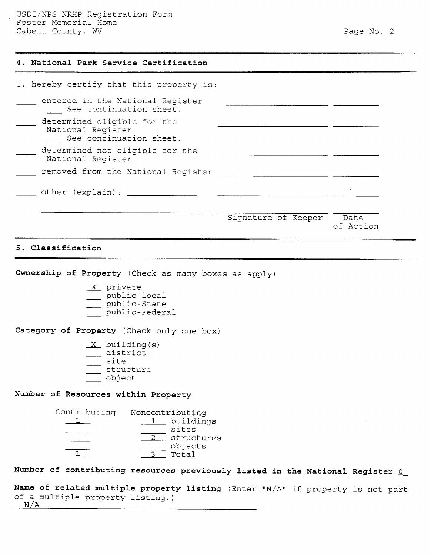USDI/NPS NRHP Registration Form Foster Memorial Home Cabell County, WV 8. 2008 2012 12:30 12:30 2012 12:30 2013 12:30 2014 12:30 2014 12:30 2014 12:30 2014 12:30

## **4. National Park Service Certification**

| I, hereby certify that this property is:                                    |                     |                   |
|-----------------------------------------------------------------------------|---------------------|-------------------|
| entered in the National Register<br>See continuation sheet.                 |                     |                   |
| determined eligible for the<br>National Register<br>See continuation sheet. |                     |                   |
| determined not eligible for the<br>National Register                        |                     |                   |
| removed from the National Register                                          |                     |                   |
| other (explain):                                                            |                     | $\bullet$         |
|                                                                             | Signature of Keeper | Date<br>of Action |

## **5. Classification**

**Ownership of Property** (Check as many boxes

- X private
- \_\_\_ public-local
- \_\_\_ public-State \_\_\_ public-Federal
- 

Category of Property (Check only one box)

 $X$  building (s) district  $\frac{1}{\sqrt{2}}$  site structure X building<br>
istrict<br>
site<br>
structure<br>
object<br>
...

## **Number of Resources within Property**



## Number of contributing resources previously listed in the National Register 0

```
Name of related multiple property listing (Enter "N/A" if property is not part
of a multiple property listing.) 
N/A
```
-- -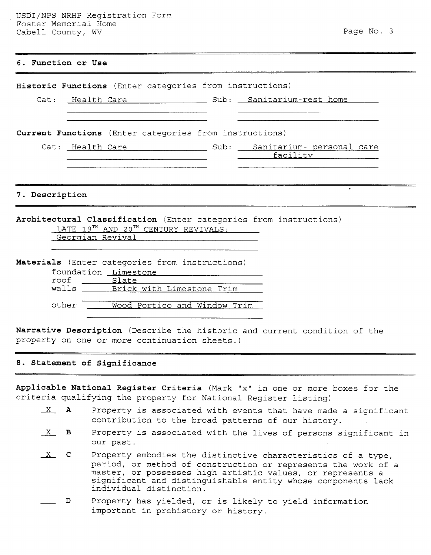# **6. Function or Use**

|                | Historic Functions (Enter categories from instructions)                                                   |                 |
|----------------|-----------------------------------------------------------------------------------------------------------|-----------------|
|                | Cat: Health Care The Sub: Sanitarium-rest home                                                            |                 |
|                |                                                                                                           |                 |
|                | Current Functions (Enter categories from instructions)                                                    |                 |
|                |                                                                                                           |                 |
|                |                                                                                                           | <u>facility</u> |
|                |                                                                                                           |                 |
| 7. Description | Architectural Classification (Enter categories from instructions)<br>LATE 19TH AND 20TH CENTURY REVIVALS: |                 |
|                | Georgian Revival                                                                                          |                 |
|                |                                                                                                           |                 |
|                | Materials (Enter categories from instructions)                                                            |                 |
|                | foundation Limestone                                                                                      |                 |
|                | roof Slate<br>walls Brick with Limestone Trim                                                             |                 |
|                |                                                                                                           |                 |
|                | other<br>Wood Portico and Window Trim                                                                     |                 |
|                |                                                                                                           |                 |

**Narrative Description** (Describe the historic and current condition of the property on one or more continuation sheets.)

## **8. Statement of Significance**

**Applicable National Register Criteria** (Mark "x" in one or more boxes for the criteria qualifying the property for National Register listing)

- cable National Register Criteria (Mark "x" in one or more boxes for the<br>
ria qualifying the property for National Register listing)<br>
X **A** Property is associated with events that have made a significant<br>
contribution to th contribution to the broad patterns of our history.
- $X$  B Property is associated with the lives of persons significant in our past.
- $X$  C Property embodies the distinctive characteristics of a type, period, or method of construction or represents the work<br>master, or possesses high artistic values, or represents<br>significant and distinguishable entity whose components<br>individual distinction.<br>D Property has yielded, or i period, or method of construction or represents the work of a master, or possesses high artistic values, or represents a significant and distinguishable entity whose components lack individual distinction.
	- important in prehistory or history.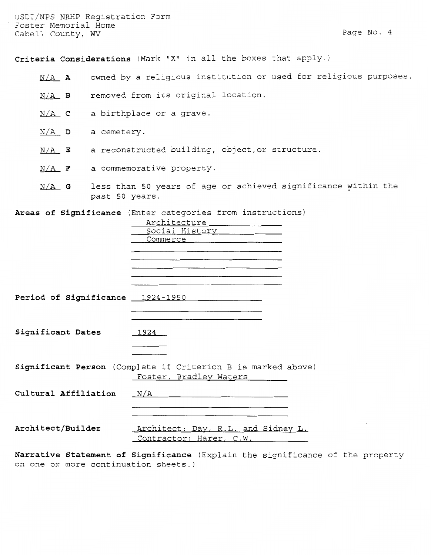USDI/NPS NRHP Registration Form Foster Memorial Home Cabell County, WV 8. 2012 12:30 12:30 12:30 12:30 12:30 12:30 12:30 12:30 12:30 12:30 12:30 12:30 12:30 12:30

Criteria Considerations (Mark "X" in all the boxes that apply.)

- N/A **A** owned by a religious institution or used for religious purposes.
- N/A B removed from its original location.
- N/A **c** a birthplace or a grave.
- N/A **D** a cemetery.
- N/A **E** a reconstructed building, object, or structure.
- N/A **F** a commemorative property.
- N/A **G** less than 50 years of age or achieved significance within the past 50 years.

**Areas of Significance** (Enter categories from instructions)

|                      | Architecture                                                 |
|----------------------|--------------------------------------------------------------|
|                      | Social History 1990                                          |
|                      | Commerce                                                     |
|                      |                                                              |
|                      |                                                              |
|                      |                                                              |
|                      |                                                              |
|                      |                                                              |
|                      |                                                              |
|                      | Period of Significance 1924-1950                             |
|                      |                                                              |
|                      |                                                              |
|                      |                                                              |
| Significant Dates    | 1924                                                         |
|                      |                                                              |
|                      |                                                              |
|                      |                                                              |
|                      | Significant Person (Complete if Criterion B is marked above) |
|                      | Foster, Bradley Waters                                       |
|                      |                                                              |
| Cultural Affiliation | $\mathrm{N}/\mathrm{A}$                                      |
|                      |                                                              |
|                      |                                                              |
|                      |                                                              |
| Architect/Builder    | Architect: Day, R.L. and Sidney L.                           |
|                      | Contractor: Harer, C.W.                                      |
|                      |                                                              |

**Narrative Statement of Significance** (Explain the significance of the property on one or more continuation sheets.)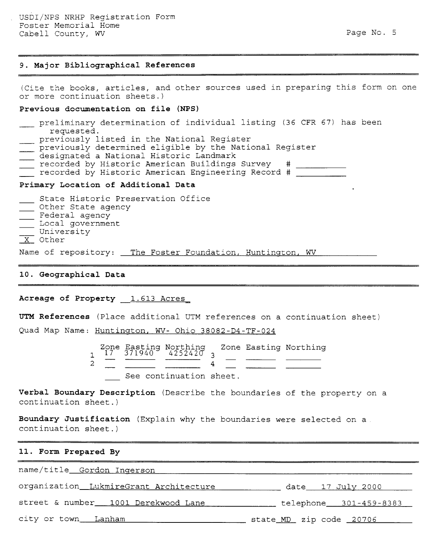#### **9. Major Bibliographical References**

(Cite the books, articles, and other sources used in preparing this form on one or more continuation sheets.) (Cite the books, articles, and other sources used in preparing this<br>or more continuation sheets.)<br>**Previous documentation on file (NPS)**<br>preliminary determination of individual listing (36 CFR 67) has<br>requested.

#### **Previous documentation on file (NPS)**

- requested.<br>previously listed in the National Register \_ Previous documentation on file (NPS)<br>
- preliminary determination of individual listing (36 CFR<br>
requested.<br>
- previously listed in the National Register<br>
- previously determined eligible by the National Register - preliminary determination of individual<br>requested.<br>- previously listed in the National Regist<br>previously determined eligible by the Na<br>designated a National Historic Landmark<br>recorded by Historic American Buildings been
- 
- 
- 
- $\equiv$  recorded by Historic American Buildings Survey  $\;\;\#$
- recorded by Historic American Engineering Record #

## **Primary Location of Additional Data**

- State Historic Preservation Office The Corded by Histori<br>
Primary Location of Add<br>
- State Historic Pres<br>
- Other State agency<br>
- Federal agency - Federal agency Primary Location of A<br>
- State Historic Pr<br>
Other State agency<br>
Federal agency<br>
Local government<br>
- University University<br>University  $X$  Other Name of repository: The Foster Foundation, Huntington, WV

## **10. Geographical Data**

#### Acreage of Property 1.613 Acres

**UTM References** (Place additional UTM references on a continuation sheet)

Quad Map Name: Huntington, WV- Ohio 38082-D4-TF-024

Zone Easting Northing<br>17 371940 4252420 3 Zone Easting Northing  $1$ <sup>7</sup> $\frac{7}{7}$ <sup>-</sup> 371940<sup>-</sup> 4252420<sub>3</sub>  $\overline{2}$  $\overline{4}$ See continuation sheet.

**Verbal Boundary Description** (Describe the boundaries of the property on continuation sheet.)

**Boundary Justification** (Explain why the boundaries were selected on a continuation sheet.)

#### **11. Form Prepared By**

name/title Gordon Inqerson

organization LukmireGrant Architecture date 17 Julv 2000

street & number 1001 Derekwood Lane 1000 telephone 301-459-8383

city or town Lanham 100 million and the State MD zip code 20706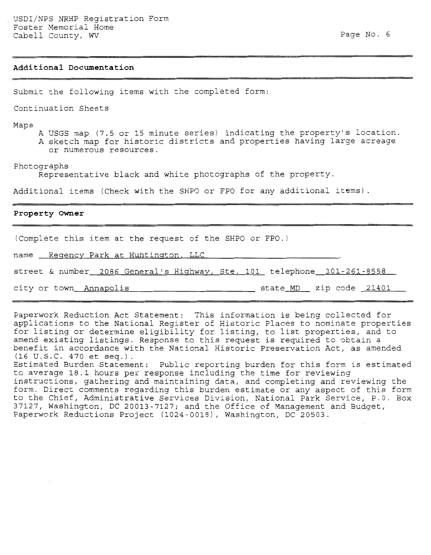--

#### **Additional Documentation**

Submit the following items with the completed form:

Continuation Sheets

Maps

- A USGS map (7.5 or 15 minute series) indicating the property's location.
- A sketch map for historic districts and properties having large acreage or numerous resources.

Photographs

Representative black and white photographs of the property.

Additional items (Check with the SHPO or FPO for any additional items).

#### **Property Owner**

(Complete this item at the request of the SHPO or FPO.)

name Reqency Park at Huntington, LLC

street & number 2086 General's Hiqhway, Ste. 101 telephone 301-261-8558

city or town\_Annapolis \_ \_ \_ \_ \_ \_ \_ \_ \_ \_ \_ state\_MD \_ zip code \_21401 \_\_

Paperwork Reduction Act Statement: This information is being collected for applications to the National Register of Historic Places to nominate properties for listing or determine eligibility for listing, to list properties, and to amend existing listings. Response to this request is required to obtain a benefit in accordance with the National Historic Preservation Act, as amended  $(16 \text{ U.S.C. } 470 \text{ et seq.}).$ 

Estimated Burden Statement: Public reporting burden for this form is estimated to average 18.1 hours per response including the time for reviewing instructions, gathering and maintaining data, and completing and reviewing the form. Direct comments regarding this burden estimate or any aspect of this form to the Chief, Administrative Services Division, National Park Service, P.O. Box 37127, Washington, DC 20013-7127; and the Office of Management and Budget, Paperwork Reductions Project (1024-0018), Washington, DC 20503.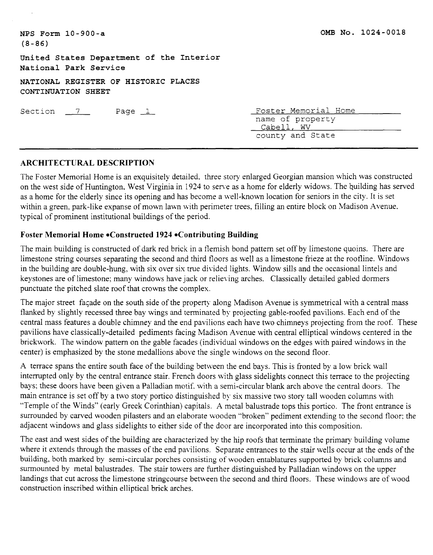| $NPS$ Form $10-900-a$<br>$(8 - 86)$                               | OMB No. 1024-0018                                                          |
|-------------------------------------------------------------------|----------------------------------------------------------------------------|
| United States Department of the Interior<br>National Park Service |                                                                            |
| NATIONAL REGISTER OF HISTORIC PLACES<br>CONTINUATION SHEET        |                                                                            |
| Section $7$<br>Page $1$                                           | Foster Memorial Home<br>name of property<br>Cabell, WV<br>county and State |

# **ARCHITECTURAL DESCRIPTION**

The Foster Memorial Home is an exquisitely detailed. three story enlarged Georgian mansion which was constructed on the west side of Huntington, West Virginia in 1924 to sene as a home for elderly widows. The building has served as a home for the elderly since its opening and has become a well-known location for seniors in the city. It is set within a green, park-like expanse of mown lawn with perimeter trees, filling an entire block on Madison Avenue. typical of prominent institutional buildings of the period.

# **Foster Memorial Home \*Constructed 1924 \*Contributing Building**

The main building is constructed of dark red brick in a flemish bond pattern set off by limestone quoins. There are limestone string courses separating the second and third floors as well as a limestone frieze at the roofline. Windows in the building are double-hung, with six over six true divided lights. Window sills and the occasional lintels and keystones are of limestone; many windows have jack or relieving arches. Classically detailed gabled dormers punctuate the pitched slate roof that crowns the complex.

The major street façade on the south side of the property along Madison Avenue is symmetrical with a central mass flanked by slightly recessed three bay wings and terminated by projecting gable-roofed pavilions. Each end of the central mass features a double chimney and the end pavilions each have two chimneys projecting from the roof. These pavilions have classically-detailed pediments facing Madison Avenue with central elliptical windows centered in the brickwork. The window pattern on the gable facades (individual windows on the edges with paired windows in the center) is emphasized by the stone medallions above the single windows on the second floor.

A terrace spans the entire south face of the building between the end bays. This is fronted by a low brick wall interrupted only by the central entrance stair. French doors with glass sidelights connect this terrace to the projecting bays; these doors have been given a Palladian motif. with a semi-circular blank arch above the central doors. The main entrance is set off by a two story portico distinguished by six massive two story tall wooden columns with "Temple of the Winds" (early Greek Corinthian) capitals. A metal balustrade tops this portico. The front entrance is surrounded by carved wooden pilasters and an elaborate wooden "broken" pediment extending to the second floor: the adjacent windows and glass sidelights to either side of the door are incorporated into this composition.

The east and west sides of the building are characterized by the hip roofs that terminate the primary building volume where it extends through the masses of the end pavilions. Separate entrances to the stair wells occur at the ends of the building, both marked by semi-circular porches consisting of wooden entablatures supported by brick columns and surmounted by metal balustrades. The stair towers are further distinguished by Palladian windows on the upper landings that cut across the limestone stringcourse between the second and third floors. These windows are of wood construction inscribed within elliptical brick arches.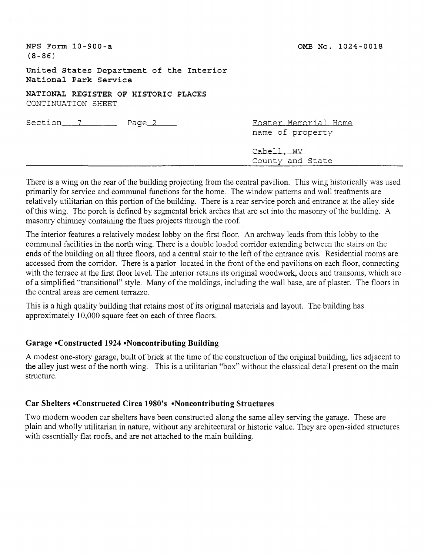| $NPS$ Form $10-900-a$<br>$(8 - 86)$                                | OMB No. 1024-0018                        |
|--------------------------------------------------------------------|------------------------------------------|
| United States Department of the Interior<br>National Park Service  |                                          |
| NATIONAL REGISTER OF HISTORIC PLACES<br>CONTINUATION SHEET         |                                          |
| Section <sub>2</sub> 7 <sub>2</sub> Page <sub>2</sub> <sub>2</sub> | Foster Memorial Home<br>name of property |
|                                                                    | Cabell, WV<br>County and State           |

There is a wing on the rear of the building projecting from the central pavilion. This wing historically was used primarily for service and communal functions for the home. The window patterns and wall treatments are relatively utilitarian on this portion of the building. There is a rear service porch and entrance at the alley side of this wing. The porch is defined by segmental brick arches that are set into the masonry of the building. A masonry chimney containing the flues projects through the roof.

The interior features a relatively modest lobby on the first floor. An archway leads from this lobby to the communal facilities in the north wing. There is a double loaded corridor extending between the stairs on the ends of the building on all three floors, and a central stair to the left of the entrance axis. Residential rooms are accessed from the corridor. There is a parlor located in the front of the end pavilions on each floor, connecting with the terrace at the first floor level. The interior retains its original woodwork, doors and transoms, which are of a simplified "transitional" style. Many of the moldings, including the wall base, are of plaster. The floors in the central areas are cement terrazzo.

This is a high quality building that retains most of its original materials and layout. The building has approximately 10,000 square feet on each of three floors.

# **Garage \*Constructed 1924 \*Noncontributing Building**

A modest one-story garage, built of brick at the time of the construction of the original building, lies adjacent to the alley just west of the north wing. This is a utilitarian "box" without the classical detail present on the main structure.

# **Car Shelters \*Constructed Circa 1980's \*Noncontributing Structures**

Two modem wooden car shelters have been constructed along the same alley serving the garage. These are plain and wholly utilitarian in nature, without any architectural or historic value. They are open-sided structures with essentially flat roofs, and are not attached to the main building.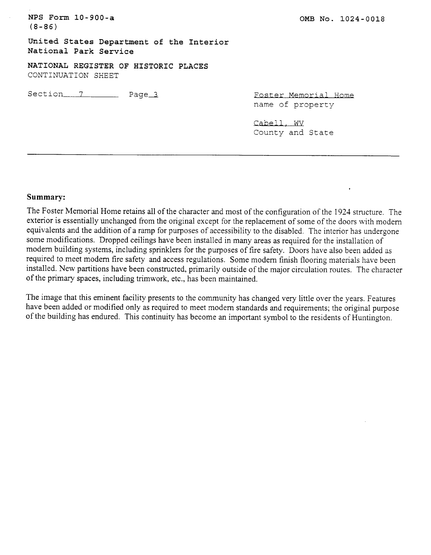**NPS Form 10-900-a (8-86) United States Department of the Interior National Park Service NATIONAL REGISTER OF HISTORIC PLACES**  CONTINUATION SHEET Section 7 Page 3 Foster Memorial Home OMB No. 1024-0<br>Foster Memorial Home<br>name of property<br>Cabell, WV<br>County and State

County and State

## **Summary:**

The Foster Memorial Home retains all of the character and most of the configuration of the 1924 structure. The exterior is essentially unchanged from the original except for the replacement of some of the doors with modem equivalents and the addition of a ramp for purposes of accessibility to the disabled. The interior has undergone some modifications. Dropped ceilings have been installed in many areas as required for the installation of modem building systems, including sprinklers for the purposes of fire safety. Doors have also been added as required to meet modem fire safety and access regulations. Some modem finish flooring materials have been installed. New partitions have been constructed, primarily outside of the major circulation routes. The character of the primary spaces, including trimwork, etc., has been maintained.

The image that this eminent facility presents to the community has changed very little over the years. Features have been added or modified only as required to meet modem standards and requirements; the original purpose of the building has endured. This continuity has become an important symbol to the residents of Huntington.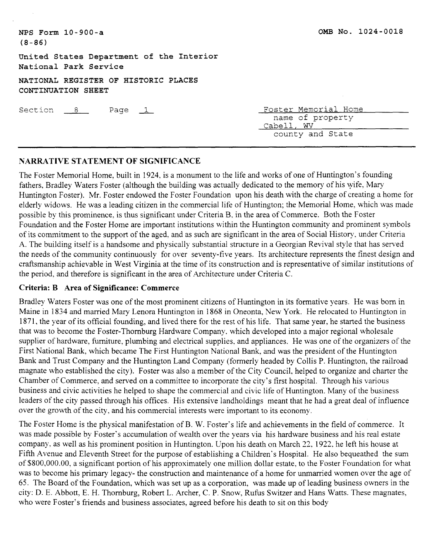**United States Department of the Interior National Park Service** 

**NATIONAL REGISTER OF HISTORIC PLACES CONTINUATION SHEET**  CONTINUATION SHEET<br>CONTINUATION SHEET<br>Section <u>8</u> Page 1 Foster Memorial Home<br>name of property

name of property Cabell, WV county and State

# **NARRATIVE STATEMENT OF SIGNIFICANCE**

The Foster Memorial Home, built in 1924, is a monument to the life and works of one of Huntington's founding fathers, Bradley Waters Foster (although the building was actually dedicated to the memory of his wife. Mary Huntington Foster). Mr. Foster endowed the Foster Foundation upon his death with the charge of creating a home for elderly widows. He was a leading citizen in the commercial life of Huntington; the Memorial Home, which was made possible by this prominence. is thus significant under Criteria B, in the area of Commerce. Both the Foster Foundation and the Foster Home are important institutions within the Huntington community and prominent symbols of its commitment to the support of the aged. and as such are significant in the area of Social History, under Criteria A. The building itself is a handsome and physically substantial structure in a Georgian Revival style that has served the needs of the community continuously for over seventy-five years. Its architecture represents the finest design and craftsmanship achievable in West Virginia at the time of its construction and is representative of similar institutions of the period. and therefore is significant in the area of Architecture under Criteria C.

# **Criteria: B Area of Significance: Commerce**

Bradley Waters Foster was one of the most prominent citizens of Huntington in its formative years. He was born in Maine in 1834 and married Mary Lenora Huntington in 1868 in Oneonta, New York. He relocated to Huntington in 1871, the year of its official founding, and lived there for the rest of his life. That same year, he started the business that was to become the Foster-Thornburg Hardware Company. which developed into a major regional wholesale supplier of hardware, furniture, plumbing and electrical supplies. and appliances. He was one of the organizers of the First National Bank, which became The First Huntington National Bank, and was the president of the Huntington Bank and Trust Company and the Huntington Land Company (formerly headed by Collis P. Huntington, the railroad magnate who established the city). Foster was also a member of the City Council, helped to organize and charter the Chamber of Commerce, and served on a committee to incorporate the city's first hospital. Through his various business and civic activities he helped to shape the commercial and civic life of Huntington. Many of the business leaders of the city passed through his offices. His extensive landholdings meant that he had a great deal of influence over the growth of the city. and his commercial interests were important to its economy.

The Foster Home is the physical manifestation of B. W. Foster's life and achievements in the field of commerce. It was made possible by Foster's accumulation of wealth over the years via his hardware business and his real estate company, as well as his prominent position in Huntington. Upon his death on March 32, 1922. he left his house at Fifth Avenue and Eleventh Street for the purpose of establishing a Children's Hospital. He also bequeathed the sum of \$800,000.00, a significant portion of his approximately one million dollar estate, to the Foster Foundation for what was to become his primary legacy- the construction and maintenance of a home for unmarried women over the age of 65. The Board of the Foundation, which was set up as a corporation, was made up of leading business owners in the city: D. E. Abbott, E. H. Thornburg, Robert L. Archer, C. P. Snow, Rufus Switzer and Hans Watts. These magnates, who were Foster's friends and business associates, agreed before his death to sit on this body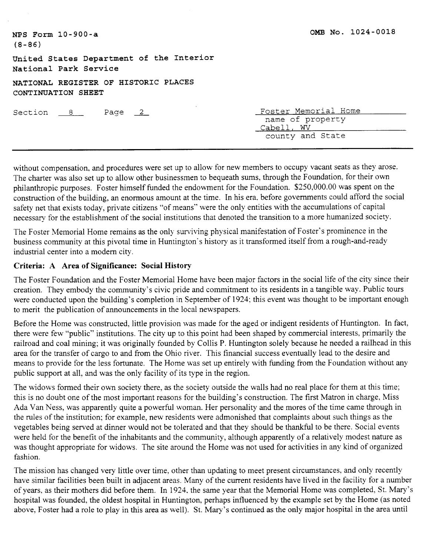| NPS Form 10-900-a<br>$(8 - 86)$                                   | OMB NO. 1024-0018                                                          |
|-------------------------------------------------------------------|----------------------------------------------------------------------------|
| United States Department of the Interior<br>National Park Service |                                                                            |
| NATIONAL REGISTER OF HISTORIC PLACES<br>CONTINUATION SHEET        |                                                                            |
| Section 8<br>Page $2$                                             | Foster Memorial Home<br>name of property<br>Cabell, WV<br>county and State |

without compensation. and procedures were set up to allow for new members to occupy vacant seats as they arose. The charter was also set up to allow other businessmen to bequeath sums, through the Foundation, for their own philanthropic purposes. Foster himself funded the endowment for the Foundation. \$250,000.00 was spent on the construction of the building, an enormous amount at the time. In his era. before governments could afford the social safety net that exists today, private citizens "of means" were the only entities with the accumulations of capital necessary for the establishment of the social institutions that denoted the transition to a more humanized society.

The Foster Memorial Home remains as the only surviving physical manifestation of Foster's prominence in the business community at this pivotal time in Huntington's history as it transformed itself from a rough-and-ready industrial center into a modern city.

# **Criteria: A Area of Significance: Social History**

The Foster Foundation and the Foster Memorial Home have been major factors in the social life of the city since their creation. They embody the community's civic pride and commitment to its residents in a tangible way. Public tours were conducted upon the building's completion in September of 1924; this event was thought to be important enough to merit the publication of announcements in the local newspapers.

Before the Home was constructed, little provision was made for the aged or indigent residents of Huntington. In fact, there were few "public" institutions. The city up to this point had been shaped by commercial interests, primarily the railroad and coal mining; it was originally founded by Collis P. Huntington solely because he needed a railhead in this area for the transfer of cargo to and from the Ohio river. This financial success eventually lead to the desire and means to provide for the less fortunate. The Home was set up entirely with funding from the Foundation without any public support at all, and was the only facility of its type in the region.

The widows formed their own society there, as the society outside the walls had no real place for them at this time; this is no doubt one of the most important reasons for the building's construction. The first Matron in charge, Miss Ada Van Ness, was apparently quite a powerful woman. Her personality and the mores of the time came through in the rules of the institution; for example, new residents were admonished that complaints about such things as the vegetables being served at dinner would not be tolerated and that they should be thankful to be there. Social events were held for the benefit of the inhabitants and the community, although apparently of a relatively modest nature as was thought appropriate for widows. The site around the Home was not used for activities in any kind of organized fashion.

The mission has changed very little over time, other than updating to meet present circumstances, and only recently have similar facilities been built in adjacent areas. Many of the current residents have lived in the facility for a number of years, as their mothers did before them. In 1924. the same year that the Memorial Home was completed, St. Mary's hospital was founded, the oldest hospital in Huntington, perhaps influenced by the example set by the Home (as noted above, Foster had a role to play in this area as well). St. Mary's continued as the only major hospital in the area until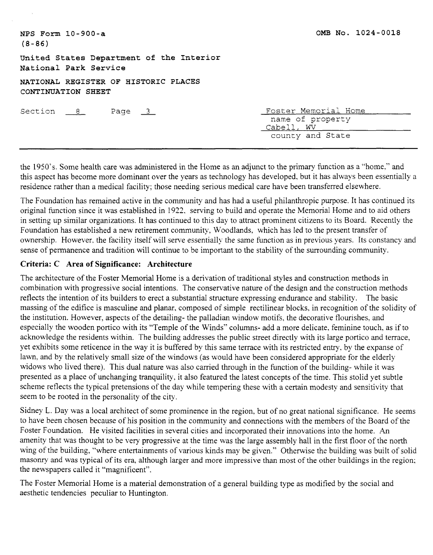| $NPS$ Form $10-900-a$<br>$(8 - 86)$                               | OMB No. 1024-0018                                                          |
|-------------------------------------------------------------------|----------------------------------------------------------------------------|
| United States Department of the Interior<br>National Park Service |                                                                            |
| NATIONAL REGISTER OF HISTORIC PLACES<br>CONTINUATION SHEET        |                                                                            |
| Section $8$<br>Page $3$                                           | Foster Memorial Home<br>name of property<br>Cabell, WV<br>county and State |

the 1950's. Some health care was administered in the Home as an adjunct to the primary function as a "home." and this aspect has become more dominant over the years as technology has developed, but it has always been essentially a residence rather than a medical facility; those needing serious medical care have been transferred elsewhere.

The Foundation has remained active in the community and has had a useful philanthropic purpose. It has continued its original function since it was established in 1922, serving to build and operate the Memorial Home and to aid others in setting up similar organizations. It has continued to this day to attract prominent citizens to its Board. Recently the Foundation has established a new retirement community, Woodlands, which has led to the present transfer of ownership. However. the facility itself will serve essentially the same function as in previous years. Its constancy and sense of permanence and tradition will continue to be important to the stability of the surrounding community.

# **Criteria: C Area of Significance: Architecture**

The architecture of the Foster Memorial Home is a derivation of traditional styles and construction methods in combination with progressive social intentions. The conservative nature of the design and the construction methods reflects the intention of its builders to erect a substantial structure expressing endurance and stability. The basic massing of the edifice is masculine and planar, composed of simple rectilinear blocks. in recognition of the solidity of the institution. However, aspects of the detailing- the palladian window motifs, the decorative flourishes. and especially the wooden portico with its "Temple of the Winds" columns- add a more delicate, feminine touch, as if to acknowledge the residents within. The building addresses the public street directly with its large portico and terrace, yet exhibits some reticence in the way it is buffered by this same terrace with its restricted entry, by the expanse of lawn, and by the relatively small size of the windows (as would have been considered appropriate for the elderly widows who lived there). This dual nature was also carried through in the function of the building- while it was presented as a place of unchanging tranquility. it also featured the latest concepts of the time. This stolid yet subtle scheme reflects the typical pretensions of the day while tempering these with a certain modesty and sensitivity that seem to be rooted in the personality of the city.

Sidney L. Day was a local architect of some prominence in the region, but of no great national significance. He seems to have been chosen because of his position in the community and connections with the members of the Board of the Foster Foundation. He visited facilities in several cities and incorporated their innovations into the home. An amenity that was thought to be very progressive at the time was the large assembly hall in the first floor of the north wing of the building, "where entertainments of various kinds may be given." Otherwise the building was built of solid masonry and was typical of its era, although larger and more impressive than most of the other buildings in the region; the newspapers called it "magnificent".

The Foster Memorial Home is a material demonstration of a general building type as modified by the social and aesthetic tendencies peculiar to Huntington.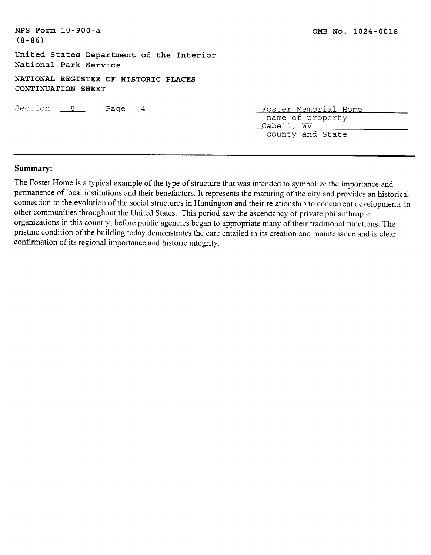| NPS Form $10-900-a$<br>$(8 - 86)$                                 | OMB No. 1024-0018                                                          |
|-------------------------------------------------------------------|----------------------------------------------------------------------------|
| United States Department of the Interior<br>National Park Service |                                                                            |
| NATIONAL REGISTER OF HISTORIC PLACES<br>CONTINUATION SHEET        |                                                                            |
| Section $8$<br>Page $4$                                           | Foster Memorial Home<br>name of property<br>Cabell, WV<br>county and State |

## **Summary:**

The Foster Home is a typical example of the type of structure that was intended to symbolize the importance and permanence of local institutions and their benefactors. It represents the maturing of the city and provides an historical connection to the evolution of the social structures in Huntington and their relationship to concurrent developments in other communities throughout the United States. This period saw the ascendancy of private philanthropic organizations in this country, before public agencies began to appropriate many of their traditional functions. The pristine condition of the building today demonstrates the care entailed in its creation and maintenance and is clear confirmation of its regional importance and historic integrity.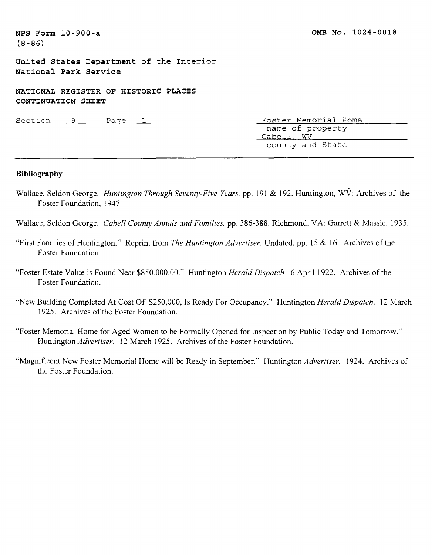**United States Department of the Interior National Park Service** 

**NATIONAL REGISTER OF HISTORIC PLACES CONTINUATION SHEET**  NATIONAL REGISTER OF HISTORIC PERCIS<br>
CONTINUATION SHEET<br>
Section 9 Page 1 Foster Memorial Home<br>
name of property

name of property Cabell, WV county and State

### **Bibliography**

Wallace, Seldon George. *Huntington Through Seventy-Five Years.* pp. 191 & 192. Huntington, WV: Archives of the Foster Foundation, 1947.

Wallace, Seldon George. *Cabell County Annuls and Families.* pp. 386-388. Richmond, VA: Garrett & Massie, 1935.

- "First Families of Huntington." Reprint from *The Huntington Advertiser.* Undated, pp. 15 & 16. Archives of the Foster Foundation.
- "Foster Estate Value is Found Near \$850,000.00." Huntington *Herald Dispatch.* 6 April 1922. Archives of the Foster Foundation.
- "New Building Completed At Cost Of \$250,000. Is Ready For Occupancy." Huntington *Herald Dispatch.* 12 March 1925. Archives of the Foster Foundation.
- "Foster Memorial Home for Aged Women to be Formally Opened for Inspection by Public Today and Tomorrow." Huntington *Advertiser.* 12 March 1925. Archives of the Foster Foundation.
- "Magnificent New Foster Memorial Home will be Ready in September." Huntington *Advertiser.* 1924. Archives of the Foster Foundation.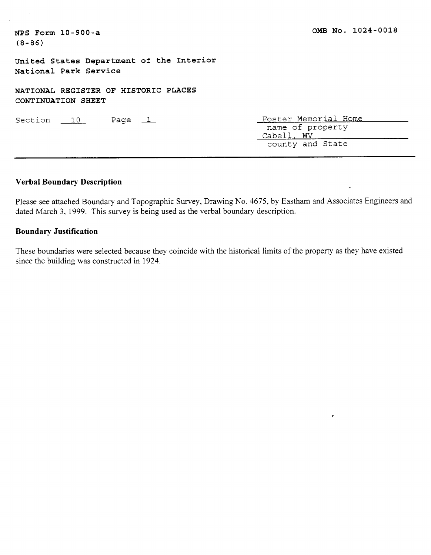**United States Department of the Interior National Park Service** 

**NATIONAL REGISTER OF HISTORIC PLACES CONTINUATION SHEET**  XAIIONAD REGISTER OF HISTORIC TERCE<br>CONTINUATION SHEET<br>Section 10 Page 1

Foster Memorial Home name of property Cabell, WV county and State

 $\bullet$ 

## **Verbal Boundary Description**

Please see attached Boundary and Topographic Survey, Drawing No. 4675, by Eastham and Associates Engineers and dated March 3, 1999. This survey is being used as the verbal boundary description.

## **Boundary Justification**

These boundaries were selected because they coincide with the historical limits of the property as they have existed since the building was constructed in 1924.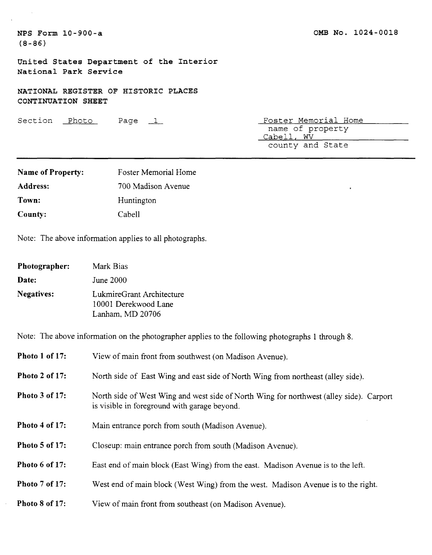$\bar{\alpha}$ 

**United States Department of the Interior National Park Service** 

**NATIONAL REGISTER OF HISTORIC PLACES CONTINUATION SHEET**  CONTINUATION SHEET<br>CONTINUATION SHEET<br>Section <u>Photo Page 1</u> Page <u>Foster Memorial Home</u><br>name of property

name of property Cabell, WV county and State

 $\bullet$ 

| <b>Name of Property:</b> | Foster Memorial Home |
|--------------------------|----------------------|
| Address:                 | 700 Madison Avenue   |
| Town:                    | Huntington           |
| County:                  | Cabell               |

Note: The above information applies to all photographs.

| Photographer:     | Mark Bias                                                             |
|-------------------|-----------------------------------------------------------------------|
| Date:             | June 2000                                                             |
| <b>Negatives:</b> | LukmireGrant Architecture<br>10001 Derekwood Lane<br>Lanham, MD 20706 |

Note: The above information on the photographer applies to the following photographs 1 through 8.

| Photo 1 of 17:        | View of main front from southwest (on Madison Avenue).                                                                                  |
|-----------------------|-----------------------------------------------------------------------------------------------------------------------------------------|
| <b>Photo 2 of 17:</b> | North side of East Wing and east side of North Wing from northeast (alley side).                                                        |
| <b>Photo 3 of 17:</b> | North side of West Wing and west side of North Wing for northwest (alley side). Carport<br>is visible in foreground with garage beyond. |
| Photo 4 of 17:        | Main entrance porch from south (Madison Avenue).                                                                                        |
| <b>Photo 5 of 17:</b> | Closeup: main entrance porch from south (Madison Avenue).                                                                               |
| Photo 6 of 17:        | East end of main block (East Wing) from the east. Madison Avenue is to the left.                                                        |
| <b>Photo 7 of 17:</b> | West end of main block (West Wing) from the west. Madison Avenue is to the right.                                                       |
| Photo 8 of 17:        | View of main front from southeast (on Madison Avenue).                                                                                  |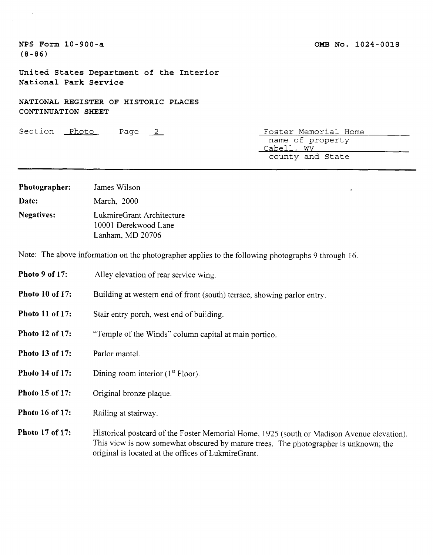## **OMB NO. 1024-0018**

**NPS Form 10-900-a (8-86)** 

 $\sim 10$ 

 $\mathcal{A}^{\mathcal{A}}$ 

**United States Department of the Interior National Park Service** 

**NATIONAL REGISTER OF HISTORIC PLACES CONTINUATION SHEET** 

Section Photo Page 2 Foster Memorial Home name of property Cabell, WV county and State

 $\bullet$ 

| Photographer:     | James Wilson                                                          |
|-------------------|-----------------------------------------------------------------------|
| Date:             | March, 2000                                                           |
| <b>Negatives:</b> | LukmireGrant Architecture<br>10001 Derekwood Lane<br>Lanham, MD 20706 |

Note: The above information on the photographer applies to the following photographs 9 through 16.

original is located at the offices of LukmireGrant.

| Photo 9 of 17:         | Alley elevation of rear service wing.                                                                                                                                              |
|------------------------|------------------------------------------------------------------------------------------------------------------------------------------------------------------------------------|
| <b>Photo 10 of 17:</b> | Building at western end of front (south) terrace, showing parlor entry.                                                                                                            |
| <b>Photo 11 of 17:</b> | Stair entry porch, west end of building.                                                                                                                                           |
| Photo 12 of 17:        | "Temple of the Winds" column capital at main portico.                                                                                                                              |
| Photo 13 of 17:        | Parlor mantel.                                                                                                                                                                     |
| Photo 14 of 17:        | Dining room interior $(1st Floor)$ .                                                                                                                                               |
| Photo 15 of 17:        | Original bronze plaque.                                                                                                                                                            |
| Photo 16 of 17:        | Railing at stairway.                                                                                                                                                               |
| Photo 17 of 17:        | Historical postcard of the Foster Memorial Home, 1925 (south or Madison Avenue elevation).<br>This view is now somewhat obscured by mature trees. The photographer is unknown; the |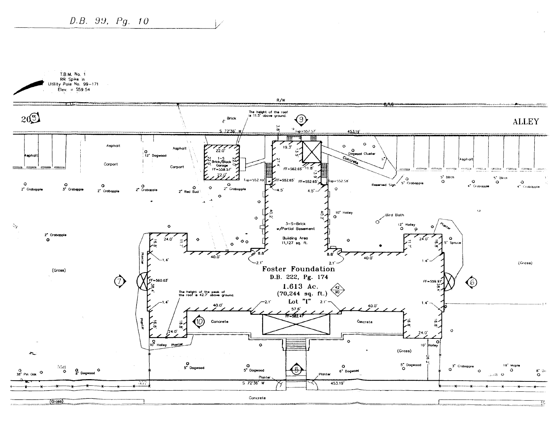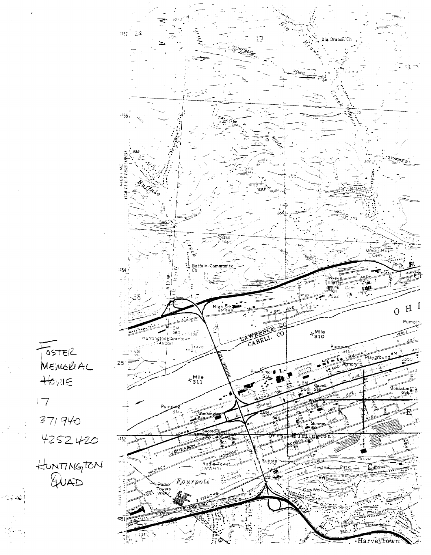

 $S<sub>1</sub>$ MEMORIAL  $Hewe$ 

 $\sqrt{7}$  $371940$ 

4252420

HUNTINGTEN